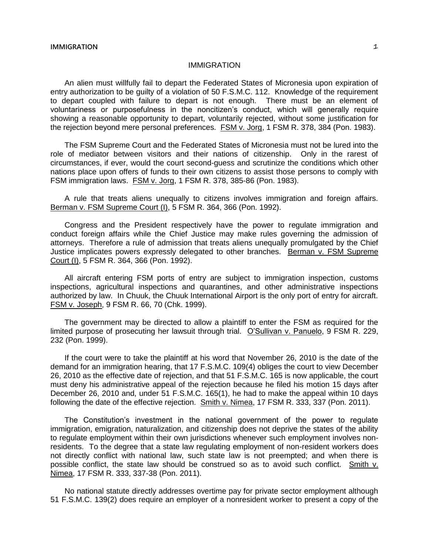## IMMIGRATION

An alien must willfully fail to depart the Federated States of Micronesia upon expiration of entry authorization to be guilty of a violation of 50 F.S.M.C. 112. Knowledge of the requirement to depart coupled with failure to depart is not enough. There must be an element of voluntariness or purposefulness in the noncitizen's conduct, which will generally require showing a reasonable opportunity to depart, voluntarily rejected, without some justification for the rejection beyond mere personal preferences. FSM v. Jorg, 1 FSM R. 378, 384 (Pon. 1983).

The FSM Supreme Court and the Federated States of Micronesia must not be lured into the role of mediator between visitors and their nations of citizenship. Only in the rarest of circumstances, if ever, would the court second-guess and scrutinize the conditions which other nations place upon offers of funds to their own citizens to assist those persons to comply with FSM immigration laws. FSM v. Jorg, 1 FSM R. 378, 385-86 (Pon. 1983).

A rule that treats aliens unequally to citizens involves immigration and foreign affairs. Berman v. FSM Supreme Court (I), 5 FSM R. 364, 366 (Pon. 1992).

Congress and the President respectively have the power to regulate immigration and conduct foreign affairs while the Chief Justice may make rules governing the admission of attorneys. Therefore a rule of admission that treats aliens unequally promulgated by the Chief Justice implicates powers expressly delegated to other branches. Berman v. FSM Supreme Court (I), 5 FSM R. 364, 366 (Pon. 1992).

All aircraft entering FSM ports of entry are subject to immigration inspection, customs inspections, agricultural inspections and quarantines, and other administrative inspections authorized by law. In Chuuk, the Chuuk International Airport is the only port of entry for aircraft. FSM v. Joseph, 9 FSM R. 66, 70 (Chk. 1999).

The government may be directed to allow a plaintiff to enter the FSM as required for the limited purpose of prosecuting her lawsuit through trial. O'Sullivan v. Panuelo, 9 FSM R. 229, 232 (Pon. 1999).

If the court were to take the plaintiff at his word that November 26, 2010 is the date of the demand for an immigration hearing, that 17 F.S.M.C. 109(4) obliges the court to view December 26, 2010 as the effective date of rejection, and that 51 F.S.M.C. 165 is now applicable, the court must deny his administrative appeal of the rejection because he filed his motion 15 days after December 26, 2010 and, under 51 F.S.M.C. 165(1), he had to make the appeal within 10 days following the date of the effective rejection. Smith v. Nimea, 17 FSM R. 333, 337 (Pon. 2011).

The Constitution's investment in the national government of the power to regulate immigration, emigration, naturalization, and citizenship does not deprive the states of the ability to regulate employment within their own jurisdictions whenever such employment involves nonresidents. To the degree that a state law regulating employment of non-resident workers does not directly conflict with national law, such state law is not preempted; and when there is possible conflict, the state law should be construed so as to avoid such conflict. Smith v. Nimea, 17 FSM R. 333, 337-38 (Pon. 2011).

No national statute directly addresses overtime pay for private sector employment although 51 F.S.M.C. 139(2) does require an employer of a nonresident worker to present a copy of the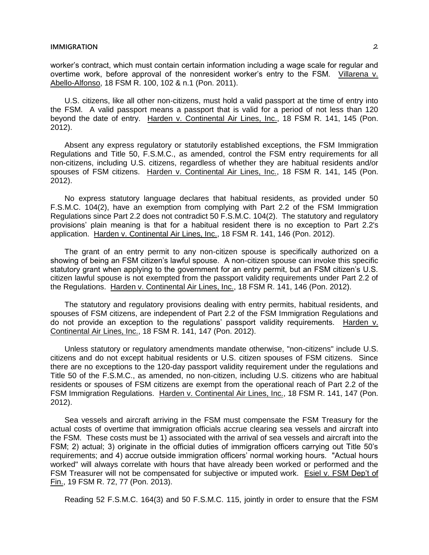worker's contract, which must contain certain information including a wage scale for regular and overtime work, before approval of the nonresident worker's entry to the FSM. Villarena v. Abello-Alfonso, 18 FSM R. 100, 102 & n.1 (Pon. 2011).

U.S. citizens, like all other non-citizens, must hold a valid passport at the time of entry into the FSM. A valid passport means a passport that is valid for a period of not less than 120 beyond the date of entry. Harden v. Continental Air Lines, Inc., 18 FSM R. 141, 145 (Pon. 2012).

Absent any express regulatory or statutorily established exceptions, the FSM Immigration Regulations and Title 50, F.S.M.C., as amended, control the FSM entry requirements for all non-citizens, including U.S. citizens, regardless of whether they are habitual residents and/or spouses of FSM citizens. Harden v. Continental Air Lines, Inc., 18 FSM R. 141, 145 (Pon. 2012).

No express statutory language declares that habitual residents, as provided under 50 F.S.M.C. 104(2), have an exemption from complying with Part 2.2 of the FSM Immigration Regulations since Part 2.2 does not contradict 50 F.S.M.C. 104(2). The statutory and regulatory provisions' plain meaning is that for a habitual resident there is no exception to Part 2.2's application. Harden v. Continental Air Lines, Inc., 18 FSM R. 141, 146 (Pon. 2012).

The grant of an entry permit to any non-citizen spouse is specifically authorized on a showing of being an FSM citizen's lawful spouse. A non-citizen spouse can invoke this specific statutory grant when applying to the government for an entry permit, but an FSM citizen's U.S. citizen lawful spouse is not exempted from the passport validity requirements under Part 2.2 of the Regulations. Harden v. Continental Air Lines, Inc., 18 FSM R. 141, 146 (Pon. 2012).

The statutory and regulatory provisions dealing with entry permits, habitual residents, and spouses of FSM citizens, are independent of Part 2.2 of the FSM Immigration Regulations and do not provide an exception to the regulations' passport validity requirements. Harden v. Continental Air Lines, Inc., 18 FSM R. 141, 147 (Pon. 2012).

Unless statutory or regulatory amendments mandate otherwise, "non-citizens" include U.S. citizens and do not except habitual residents or U.S. citizen spouses of FSM citizens. Since there are no exceptions to the 120-day passport validity requirement under the regulations and Title 50 of the F.S.M.C., as amended, no non-citizen, including U.S. citizens who are habitual residents or spouses of FSM citizens are exempt from the operational reach of Part 2.2 of the FSM Immigration Regulations. Harden v. Continental Air Lines, Inc., 18 FSM R. 141, 147 (Pon. 2012).

Sea vessels and aircraft arriving in the FSM must compensate the FSM Treasury for the actual costs of overtime that immigration officials accrue clearing sea vessels and aircraft into the FSM. These costs must be 1) associated with the arrival of sea vessels and aircraft into the FSM; 2) actual; 3) originate in the official duties of immigration officers carrying out Title 50's requirements; and 4) accrue outside immigration officers' normal working hours. "Actual hours worked" will always correlate with hours that have already been worked or performed and the FSM Treasurer will not be compensated for subjective or imputed work. Esiel v. FSM Dep't of Fin., 19 FSM R. 72, 77 (Pon. 2013).

Reading 52 F.S.M.C. 164(3) and 50 F.S.M.C. 115, jointly in order to ensure that the FSM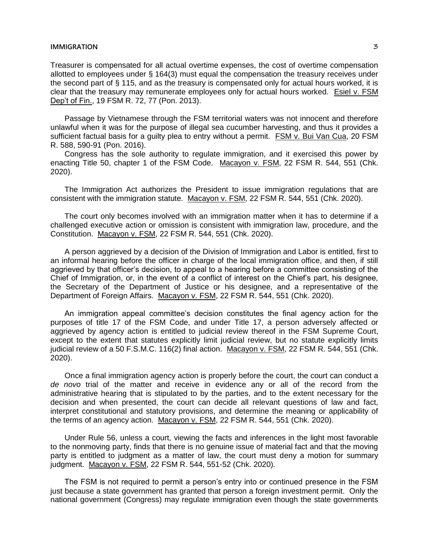## **IMMIGRATION** 3

Treasurer is compensated for all actual overtime expenses, the cost of overtime compensation allotted to employees under § 164(3) must equal the compensation the treasury receives under the second part of § 115, and as the treasury is compensated only for actual hours worked, it is clear that the treasury may remunerate employees only for actual hours worked. Esiel v. FSM Dep't of Fin., 19 FSM R. 72, 77 (Pon. 2013).

Passage by Vietnamese through the FSM territorial waters was not innocent and therefore unlawful when it was for the purpose of illegal sea cucumber harvesting, and thus it provides a sufficient factual basis for a guilty plea to entry without a permit. FSM v. Bui Van Cua, 20 FSM R. 588, 590-91 (Pon. 2016).

Congress has the sole authority to regulate immigration, and it exercised this power by enacting Title 50, chapter 1 of the FSM Code. Macayon v. FSM, 22 FSM R. 544, 551 (Chk. 2020).

The Immigration Act authorizes the President to issue immigration regulations that are consistent with the immigration statute. Macayon v. FSM, 22 FSM R. 544, 551 (Chk. 2020).

The court only becomes involved with an immigration matter when it has to determine if a challenged executive action or omission is consistent with immigration law, procedure, and the Constitution. Macayon v. FSM, 22 FSM R. 544, 551 (Chk. 2020).

A person aggrieved by a decision of the Division of Immigration and Labor is entitled, first to an informal hearing before the officer in charge of the local immigration office, and then, if still aggrieved by that officer's decision, to appeal to a hearing before a committee consisting of the Chief of Immigration, or, in the event of a conflict of interest on the Chief's part, his designee, the Secretary of the Department of Justice or his designee, and a representative of the Department of Foreign Affairs. Macayon v. FSM, 22 FSM R. 544, 551 (Chk. 2020).

An immigration appeal committee's decision constitutes the final agency action for the purposes of title 17 of the FSM Code, and under Title 17, a person adversely affected or aggrieved by agency action is entitled to judicial review thereof in the FSM Supreme Court, except to the extent that statutes explicitly limit judicial review, but no statute explicitly limits judicial review of a 50 F.S.M.C. 116(2) final action. Macayon v. FSM, 22 FSM R. 544, 551 (Chk. 2020).

Once a final immigration agency action is properly before the court, the court can conduct a *de novo* trial of the matter and receive in evidence any or all of the record from the administrative hearing that is stipulated to by the parties, and to the extent necessary for the decision and when presented, the court can decide all relevant questions of law and fact, interpret constitutional and statutory provisions, and determine the meaning or applicability of the terms of an agency action. Macayon v. FSM, 22 FSM R. 544, 551 (Chk. 2020).

Under Rule 56, unless a court, viewing the facts and inferences in the light most favorable to the nonmoving party, finds that there is no genuine issue of material fact and that the moving party is entitled to judgment as a matter of law, the court must deny a motion for summary judgment. Macayon v. FSM, 22 FSM R. 544, 551-52 (Chk. 2020).

The FSM is not required to permit a person's entry into or continued presence in the FSM just because a state government has granted that person a foreign investment permit. Only the national government (Congress) may regulate immigration even though the state governments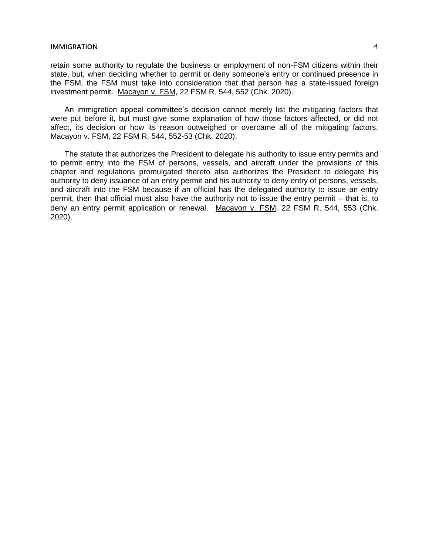## **IMMIGRATION** 4

retain some authority to regulate the business or employment of non-FSM citizens within their state, but, when deciding whether to permit or deny someone's entry or continued presence in the FSM, the FSM must take into consideration that that person has a state-issued foreign investment permit. Macayon v. FSM, 22 FSM R. 544, 552 (Chk. 2020).

An immigration appeal committee's decision cannot merely list the mitigating factors that were put before it, but must give some explanation of how those factors affected, or did not affect, its decision or how its reason outweighed or overcame all of the mitigating factors. Macayon v. FSM, 22 FSM R. 544, 552-53 (Chk. 2020).

The statute that authorizes the President to delegate his authority to issue entry permits and to permit entry into the FSM of persons, vessels, and aircraft under the provisions of this chapter and regulations promulgated thereto also authorizes the President to delegate his authority to deny issuance of an entry permit and his authority to deny entry of persons, vessels, and aircraft into the FSM because if an official has the delegated authority to issue an entry permit, then that official must also have the authority not to issue the entry permit – that is, to deny an entry permit application or renewal. Macayon v. FSM, 22 FSM R. 544, 553 (Chk. 2020).